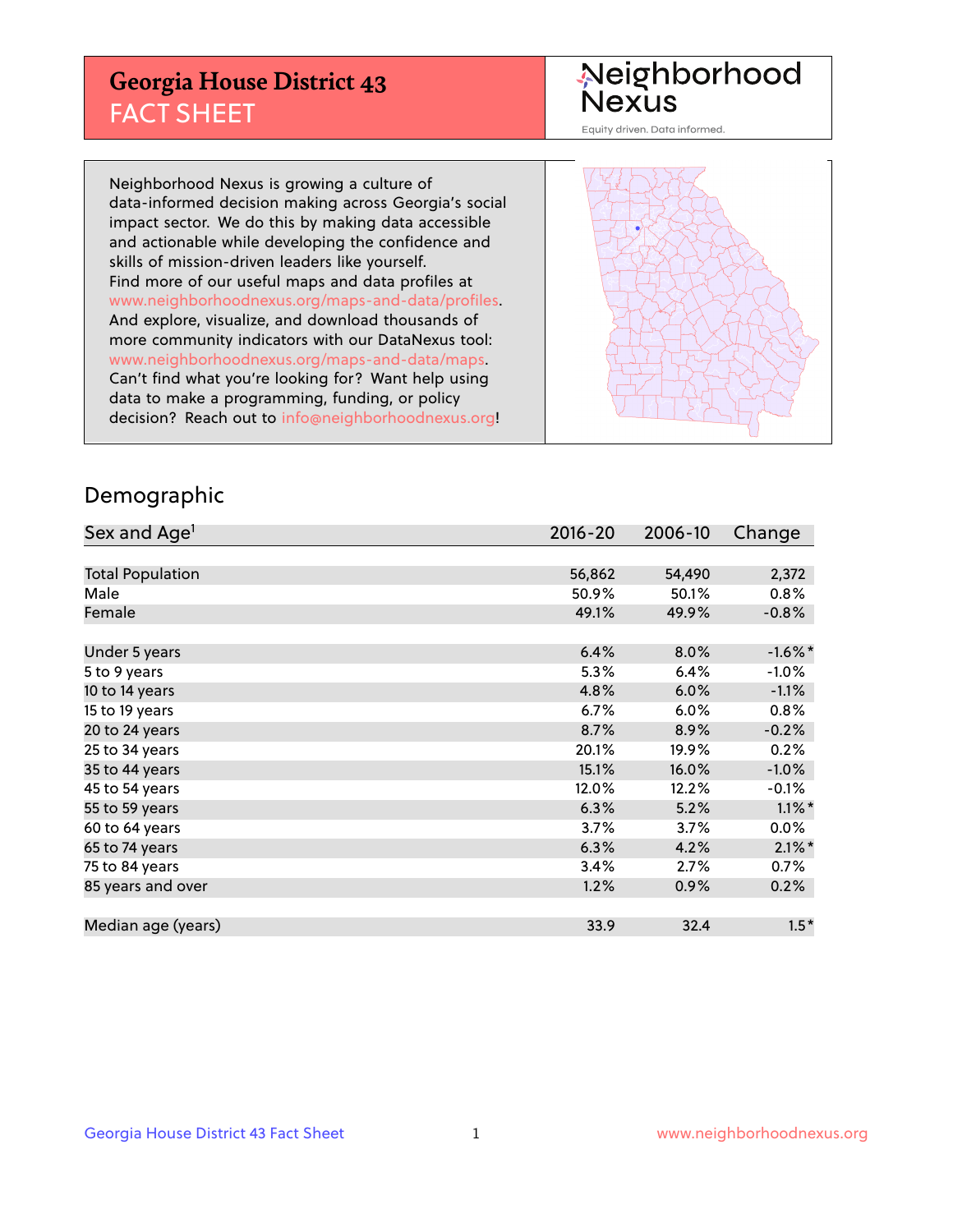## **Georgia House District 43** FACT SHEET

# Neighborhood<br>Nexus

Equity driven. Data informed.

Neighborhood Nexus is growing a culture of data-informed decision making across Georgia's social impact sector. We do this by making data accessible and actionable while developing the confidence and skills of mission-driven leaders like yourself. Find more of our useful maps and data profiles at www.neighborhoodnexus.org/maps-and-data/profiles. And explore, visualize, and download thousands of more community indicators with our DataNexus tool: www.neighborhoodnexus.org/maps-and-data/maps. Can't find what you're looking for? Want help using data to make a programming, funding, or policy decision? Reach out to [info@neighborhoodnexus.org!](mailto:info@neighborhoodnexus.org)



### Demographic

| Sex and Age <sup>1</sup> | 2016-20 | 2006-10 | Change     |
|--------------------------|---------|---------|------------|
|                          |         |         |            |
| <b>Total Population</b>  | 56,862  | 54,490  | 2,372      |
| Male                     | 50.9%   | 50.1%   | 0.8%       |
| Female                   | 49.1%   | 49.9%   | $-0.8%$    |
|                          |         |         |            |
| Under 5 years            | 6.4%    | 8.0%    | $-1.6\%$ * |
| 5 to 9 years             | 5.3%    | 6.4%    | $-1.0%$    |
| 10 to 14 years           | 4.8%    | 6.0%    | $-1.1%$    |
| 15 to 19 years           | 6.7%    | 6.0%    | 0.8%       |
| 20 to 24 years           | 8.7%    | 8.9%    | $-0.2%$    |
| 25 to 34 years           | 20.1%   | 19.9%   | 0.2%       |
| 35 to 44 years           | 15.1%   | 16.0%   | $-1.0%$    |
| 45 to 54 years           | 12.0%   | 12.2%   | $-0.1%$    |
| 55 to 59 years           | 6.3%    | 5.2%    | $1.1\%$ *  |
| 60 to 64 years           | 3.7%    | 3.7%    | 0.0%       |
| 65 to 74 years           | 6.3%    | 4.2%    | $2.1\%$ *  |
| 75 to 84 years           | 3.4%    | 2.7%    | 0.7%       |
| 85 years and over        | 1.2%    | 0.9%    | 0.2%       |
|                          |         |         |            |
| Median age (years)       | 33.9    | 32.4    | $1.5*$     |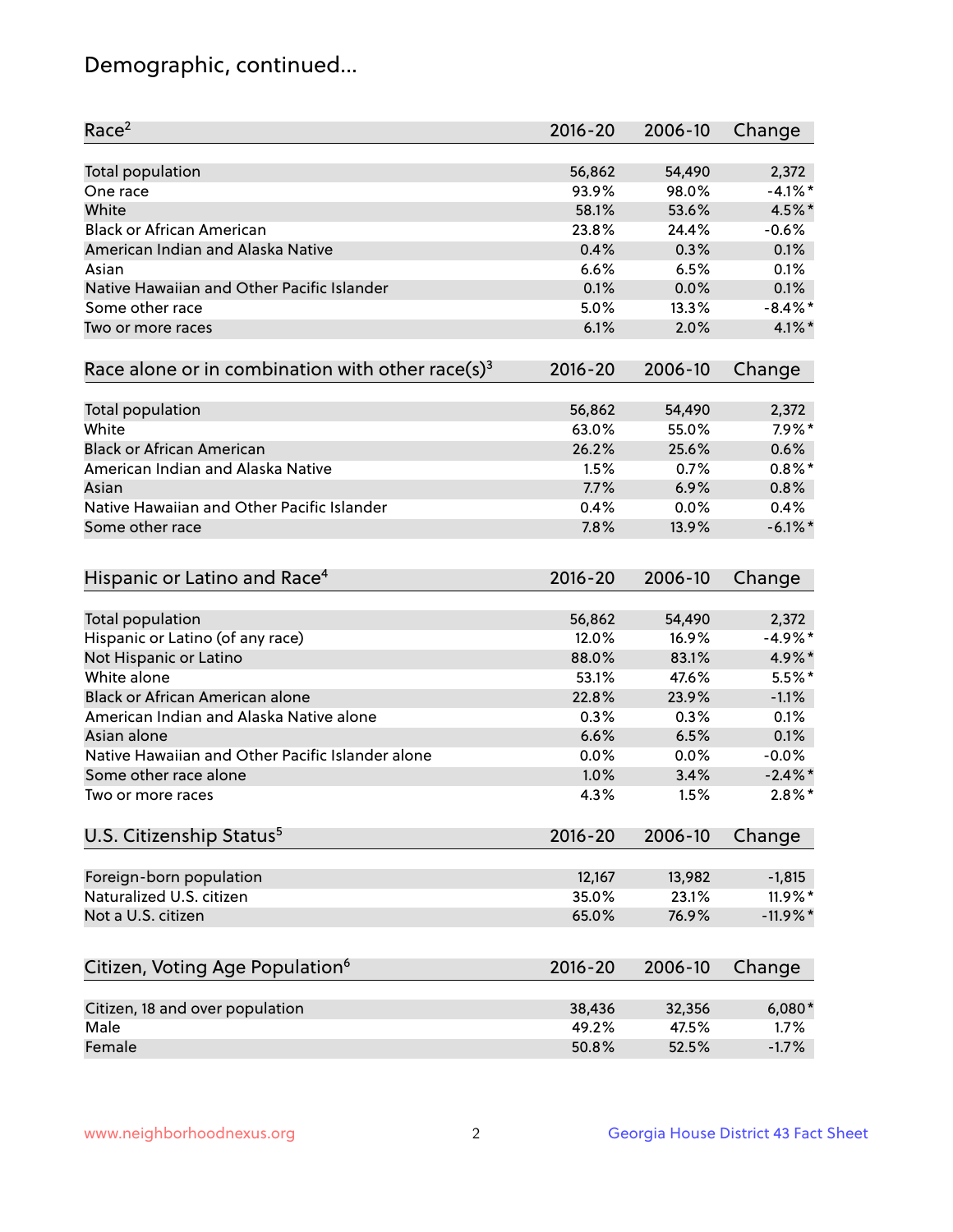## Demographic, continued...

| Race <sup>2</sup>                                            | $2016 - 20$ | 2006-10 | Change     |
|--------------------------------------------------------------|-------------|---------|------------|
| <b>Total population</b>                                      | 56,862      | 54,490  | 2,372      |
| One race                                                     | 93.9%       | 98.0%   | $-4.1\%$ * |
| White                                                        | 58.1%       | 53.6%   | 4.5%*      |
| <b>Black or African American</b>                             | 23.8%       | 24.4%   | $-0.6%$    |
| American Indian and Alaska Native                            | 0.4%        | 0.3%    | 0.1%       |
| Asian                                                        | 6.6%        | 6.5%    | 0.1%       |
| Native Hawaiian and Other Pacific Islander                   | 0.1%        | 0.0%    | 0.1%       |
| Some other race                                              | 5.0%        | 13.3%   | $-8.4\%$ * |
| Two or more races                                            | 6.1%        | 2.0%    | 4.1%*      |
| Race alone or in combination with other race(s) <sup>3</sup> | $2016 - 20$ | 2006-10 | Change     |
| Total population                                             | 56,862      | 54,490  | 2,372      |
| White                                                        | 63.0%       | 55.0%   | $7.9\%$ *  |
| <b>Black or African American</b>                             | 26.2%       | 25.6%   | 0.6%       |
| American Indian and Alaska Native                            | 1.5%        | 0.7%    | $0.8\%$ *  |
| Asian                                                        | 7.7%        | 6.9%    | 0.8%       |
| Native Hawaiian and Other Pacific Islander                   | 0.4%        | 0.0%    | 0.4%       |
| Some other race                                              | 7.8%        | 13.9%   | $-6.1\%$ * |
| Hispanic or Latino and Race <sup>4</sup>                     | $2016 - 20$ | 2006-10 | Change     |
| <b>Total population</b>                                      | 56,862      | 54,490  | 2,372      |
| Hispanic or Latino (of any race)                             | 12.0%       | 16.9%   | $-4.9%$ *  |
| Not Hispanic or Latino                                       | 88.0%       | 83.1%   | 4.9%*      |
| White alone                                                  | 53.1%       | 47.6%   | $5.5%$ *   |
| <b>Black or African American alone</b>                       | 22.8%       | 23.9%   | $-1.1%$    |
| American Indian and Alaska Native alone                      | 0.3%        | 0.3%    | 0.1%       |
| Asian alone                                                  | 6.6%        | 6.5%    | 0.1%       |
| Native Hawaiian and Other Pacific Islander alone             | 0.0%        | 0.0%    | $-0.0%$    |
| Some other race alone                                        | 1.0%        | 3.4%    | $-2.4\%$ * |
| Two or more races                                            | 4.3%        | 1.5%    | $2.8\%$ *  |
| U.S. Citizenship Status <sup>5</sup>                         | $2016 - 20$ | 2006-10 | Change     |
| Foreign-born population                                      | 12,167      | 13,982  | $-1,815$   |
| Naturalized U.S. citizen                                     | 35.0%       | 23.1%   | 11.9%*     |
| Not a U.S. citizen                                           | 65.0%       | 76.9%   | $-11.9%$ * |
|                                                              |             |         |            |
| Citizen, Voting Age Population <sup>6</sup>                  | $2016 - 20$ | 2006-10 | Change     |
| Citizen, 18 and over population                              | 38,436      | 32,356  | $6,080*$   |
| Male                                                         | 49.2%       | 47.5%   | 1.7%       |
| Female                                                       | 50.8%       | 52.5%   | $-1.7%$    |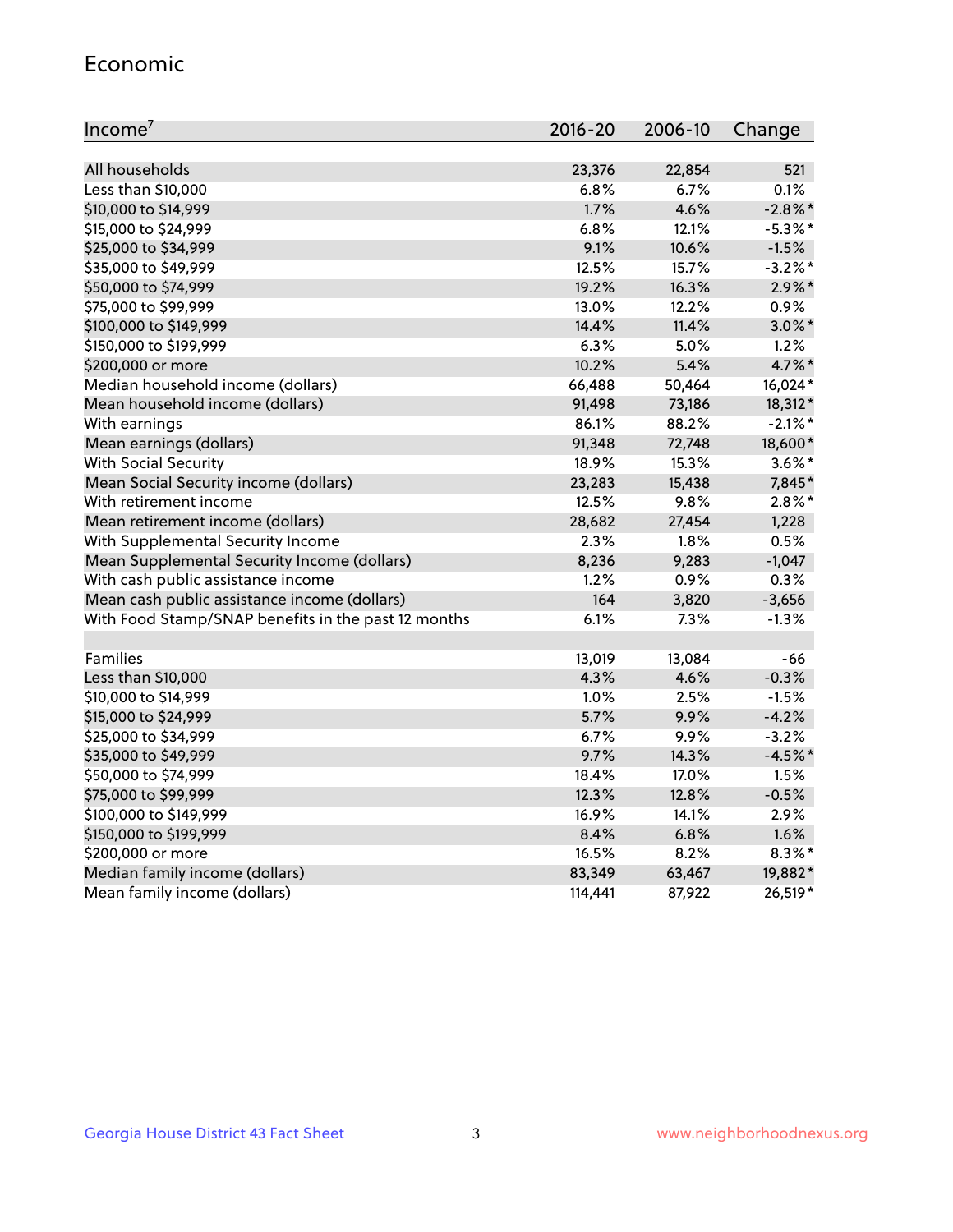#### Economic

| Income <sup>7</sup>                                 | 2016-20 | 2006-10 | Change     |
|-----------------------------------------------------|---------|---------|------------|
|                                                     |         |         |            |
| All households                                      | 23,376  | 22,854  | 521        |
| Less than \$10,000                                  | 6.8%    | 6.7%    | 0.1%       |
| \$10,000 to \$14,999                                | 1.7%    | 4.6%    | $-2.8\%$ * |
| \$15,000 to \$24,999                                | 6.8%    | 12.1%   | $-5.3\%$ * |
| \$25,000 to \$34,999                                | 9.1%    | 10.6%   | $-1.5%$    |
| \$35,000 to \$49,999                                | 12.5%   | 15.7%   | $-3.2\%$ * |
| \$50,000 to \$74,999                                | 19.2%   | 16.3%   | $2.9\%$ *  |
| \$75,000 to \$99,999                                | 13.0%   | 12.2%   | 0.9%       |
| \$100,000 to \$149,999                              | 14.4%   | 11.4%   | $3.0\%$ *  |
| \$150,000 to \$199,999                              | 6.3%    | 5.0%    | 1.2%       |
| \$200,000 or more                                   | 10.2%   | 5.4%    | 4.7%*      |
| Median household income (dollars)                   | 66,488  | 50,464  | 16,024*    |
| Mean household income (dollars)                     | 91,498  | 73,186  | 18,312*    |
| With earnings                                       | 86.1%   | 88.2%   | $-2.1\%$ * |
| Mean earnings (dollars)                             | 91,348  | 72,748  | 18,600*    |
| <b>With Social Security</b>                         | 18.9%   | 15.3%   | $3.6\%$ *  |
| Mean Social Security income (dollars)               | 23,283  | 15,438  | 7,845*     |
| With retirement income                              | 12.5%   | 9.8%    | $2.8\%$ *  |
| Mean retirement income (dollars)                    | 28,682  | 27,454  | 1,228      |
| With Supplemental Security Income                   | 2.3%    | 1.8%    | 0.5%       |
| Mean Supplemental Security Income (dollars)         | 8,236   | 9,283   | $-1,047$   |
| With cash public assistance income                  | 1.2%    | 0.9%    | 0.3%       |
| Mean cash public assistance income (dollars)        | 164     | 3,820   | $-3,656$   |
| With Food Stamp/SNAP benefits in the past 12 months | 6.1%    | 7.3%    | $-1.3%$    |
|                                                     |         |         |            |
| Families                                            | 13,019  | 13,084  | $-66$      |
| Less than \$10,000                                  | 4.3%    | 4.6%    | $-0.3%$    |
| \$10,000 to \$14,999                                | 1.0%    | 2.5%    | $-1.5%$    |
| \$15,000 to \$24,999                                | 5.7%    | 9.9%    | $-4.2%$    |
| \$25,000 to \$34,999                                | 6.7%    | 9.9%    | $-3.2%$    |
| \$35,000 to \$49,999                                | 9.7%    | 14.3%   | $-4.5%$ *  |
| \$50,000 to \$74,999                                | 18.4%   | 17.0%   | 1.5%       |
| \$75,000 to \$99,999                                | 12.3%   | 12.8%   | $-0.5%$    |
| \$100,000 to \$149,999                              | 16.9%   | 14.1%   | 2.9%       |
| \$150,000 to \$199,999                              | 8.4%    | 6.8%    | 1.6%       |
| \$200,000 or more                                   | 16.5%   | 8.2%    | $8.3\%$ *  |
| Median family income (dollars)                      | 83,349  | 63,467  | 19,882*    |
| Mean family income (dollars)                        | 114,441 | 87,922  | 26,519*    |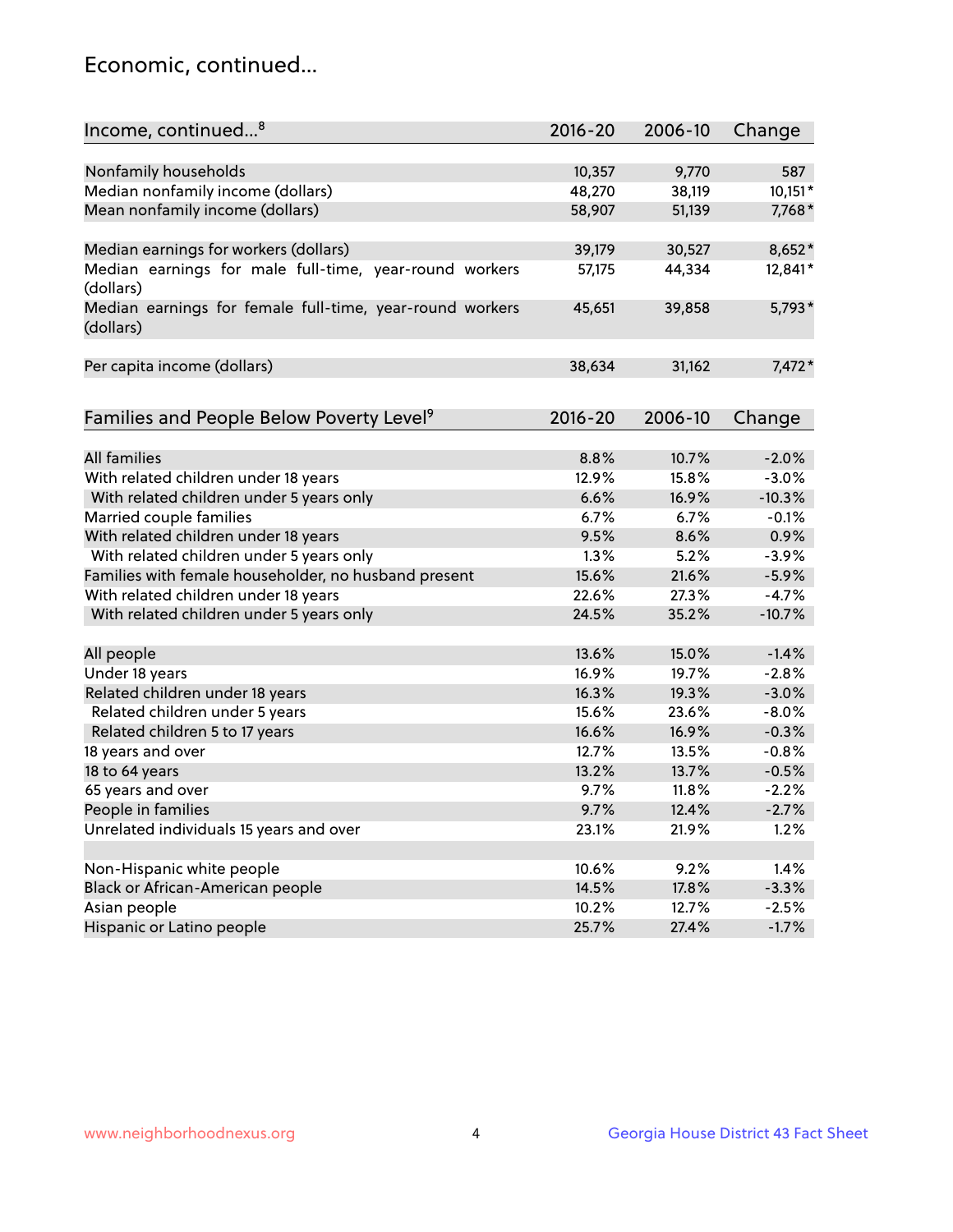## Economic, continued...

| Income, continued <sup>8</sup>                                        | $2016 - 20$ | 2006-10 | Change    |
|-----------------------------------------------------------------------|-------------|---------|-----------|
|                                                                       |             |         |           |
| Nonfamily households                                                  | 10,357      | 9,770   | 587       |
| Median nonfamily income (dollars)                                     | 48,270      | 38,119  | $10,151*$ |
| Mean nonfamily income (dollars)                                       | 58,907      | 51,139  | 7,768*    |
| Median earnings for workers (dollars)                                 | 39,179      | 30,527  | 8,652*    |
| Median earnings for male full-time, year-round workers                | 57,175      | 44,334  | 12,841*   |
| (dollars)                                                             |             |         |           |
| Median earnings for female full-time, year-round workers<br>(dollars) | 45,651      | 39,858  | 5,793*    |
| Per capita income (dollars)                                           | 38,634      | 31,162  | $7,472*$  |
|                                                                       |             |         |           |
| Families and People Below Poverty Level <sup>9</sup>                  | $2016 - 20$ | 2006-10 | Change    |
|                                                                       |             |         |           |
| All families                                                          | 8.8%        | 10.7%   | $-2.0%$   |
| With related children under 18 years                                  | 12.9%       | 15.8%   | $-3.0%$   |
| With related children under 5 years only                              | 6.6%        | 16.9%   | $-10.3%$  |
| Married couple families                                               | 6.7%        | 6.7%    | $-0.1%$   |
| With related children under 18 years                                  | 9.5%        | 8.6%    | 0.9%      |
| With related children under 5 years only                              | 1.3%        | 5.2%    | $-3.9%$   |
| Families with female householder, no husband present                  | 15.6%       | 21.6%   | $-5.9%$   |
| With related children under 18 years                                  | 22.6%       | 27.3%   | $-4.7%$   |
| With related children under 5 years only                              | 24.5%       | 35.2%   | $-10.7%$  |
|                                                                       |             |         |           |
| All people                                                            | 13.6%       | 15.0%   | $-1.4%$   |
| Under 18 years                                                        | 16.9%       | 19.7%   | $-2.8%$   |
| Related children under 18 years                                       | 16.3%       | 19.3%   | $-3.0%$   |
| Related children under 5 years                                        | 15.6%       | 23.6%   | $-8.0%$   |
| Related children 5 to 17 years                                        | 16.6%       | 16.9%   | $-0.3%$   |
| 18 years and over                                                     | 12.7%       | 13.5%   | $-0.8%$   |
| 18 to 64 years                                                        | 13.2%       | 13.7%   | $-0.5%$   |
| 65 years and over                                                     | 9.7%        | 11.8%   | $-2.2%$   |
| People in families                                                    | 9.7%        | 12.4%   | $-2.7%$   |
| Unrelated individuals 15 years and over                               | 23.1%       | 21.9%   | 1.2%      |
|                                                                       |             |         |           |
| Non-Hispanic white people                                             | 10.6%       | 9.2%    | 1.4%      |
| Black or African-American people                                      | 14.5%       | 17.8%   | $-3.3%$   |
| Asian people                                                          | 10.2%       | 12.7%   | $-2.5%$   |
| Hispanic or Latino people                                             | 25.7%       | 27.4%   | $-1.7%$   |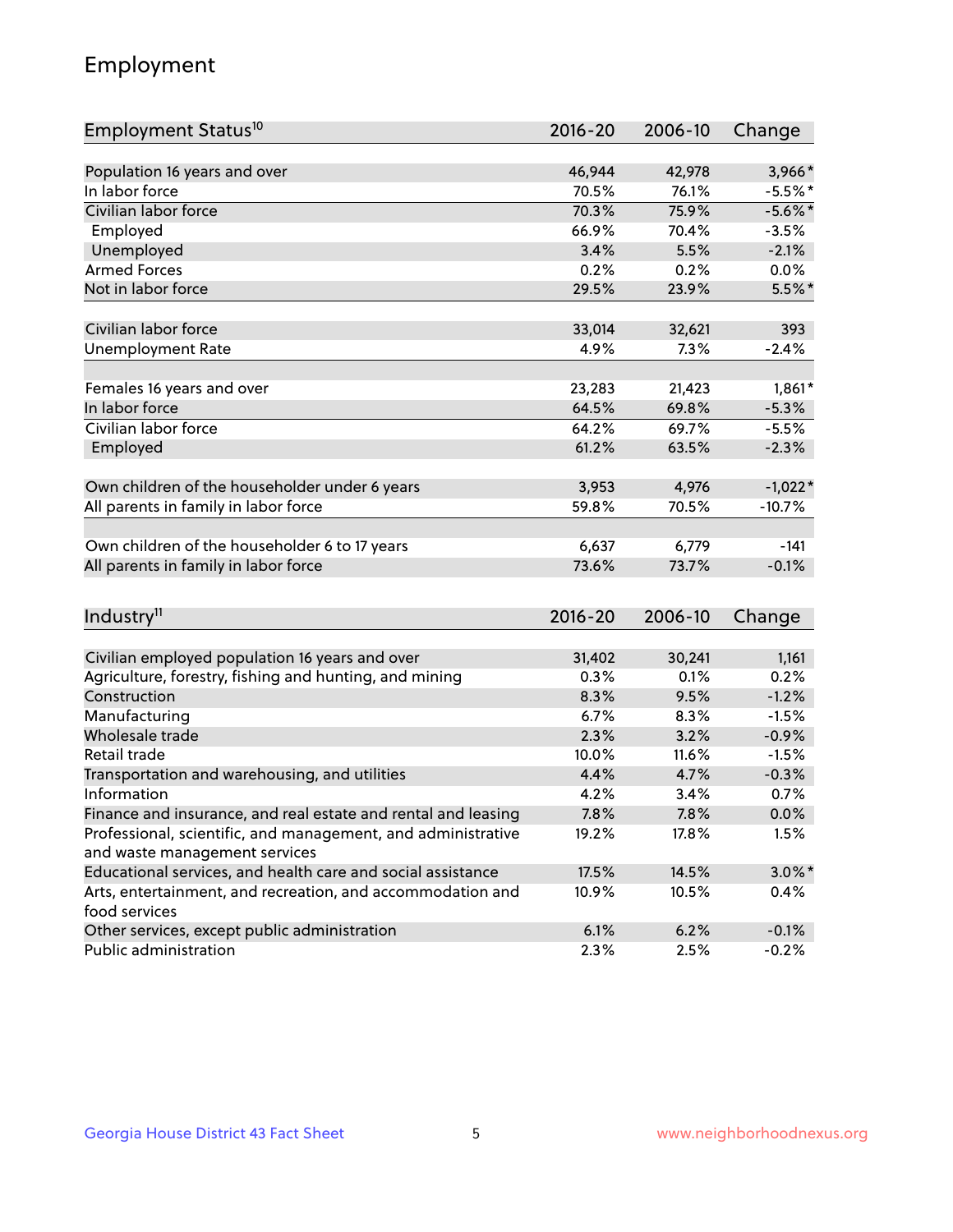## Employment

| Employment Status <sup>10</sup>                                                               | $2016 - 20$ | 2006-10 | Change     |
|-----------------------------------------------------------------------------------------------|-------------|---------|------------|
|                                                                                               |             |         |            |
| Population 16 years and over                                                                  | 46,944      | 42,978  | 3,966*     |
| In labor force                                                                                | 70.5%       | 76.1%   | $-5.5%$ *  |
| Civilian labor force                                                                          | 70.3%       | 75.9%   | $-5.6\%$ * |
| Employed                                                                                      | 66.9%       | 70.4%   | $-3.5%$    |
| Unemployed                                                                                    | 3.4%        | 5.5%    | $-2.1%$    |
| <b>Armed Forces</b>                                                                           | 0.2%        | 0.2%    | 0.0%       |
| Not in labor force                                                                            | 29.5%       | 23.9%   | $5.5%$ *   |
| Civilian labor force                                                                          | 33,014      | 32,621  | 393        |
| <b>Unemployment Rate</b>                                                                      | 4.9%        | 7.3%    | $-2.4%$    |
|                                                                                               |             |         |            |
| Females 16 years and over                                                                     | 23,283      | 21,423  | 1,861*     |
| In labor force                                                                                | 64.5%       | 69.8%   | $-5.3%$    |
| Civilian labor force                                                                          | 64.2%       | 69.7%   | $-5.5%$    |
| Employed                                                                                      | 61.2%       | 63.5%   | $-2.3%$    |
| Own children of the householder under 6 years                                                 | 3,953       | 4,976   | $-1,022*$  |
| All parents in family in labor force                                                          | 59.8%       | 70.5%   | $-10.7%$   |
|                                                                                               |             |         |            |
| Own children of the householder 6 to 17 years                                                 | 6,637       | 6,779   | $-141$     |
| All parents in family in labor force                                                          | 73.6%       | 73.7%   | $-0.1%$    |
|                                                                                               |             |         |            |
| Industry <sup>11</sup>                                                                        | $2016 - 20$ | 2006-10 | Change     |
|                                                                                               |             |         |            |
| Civilian employed population 16 years and over                                                | 31,402      | 30,241  | 1,161      |
| Agriculture, forestry, fishing and hunting, and mining                                        | 0.3%        | 0.1%    | 0.2%       |
| Construction                                                                                  | 8.3%        | 9.5%    | $-1.2%$    |
| Manufacturing                                                                                 | 6.7%        | 8.3%    | $-1.5%$    |
| Wholesale trade                                                                               | 2.3%        | 3.2%    | $-0.9%$    |
| Retail trade                                                                                  | 10.0%       | 11.6%   | $-1.5%$    |
| Transportation and warehousing, and utilities                                                 | 4.4%        | 4.7%    | $-0.3%$    |
| Information                                                                                   | 4.2%        | 3.4%    | 0.7%       |
| Finance and insurance, and real estate and rental and leasing                                 | 7.8%        | 7.8%    | 0.0%       |
| Professional, scientific, and management, and administrative<br>and waste management services | 19.2%       | 17.8%   | 1.5%       |
| Educational services, and health care and social assistance                                   | 17.5%       | 14.5%   | $3.0\%$ *  |
| Arts, entertainment, and recreation, and accommodation and                                    | 10.9%       | 10.5%   | 0.4%       |
| food services                                                                                 |             |         |            |
| Other services, except public administration                                                  | 6.1%        | 6.2%    | $-0.1%$    |
| Public administration                                                                         | 2.3%        | 2.5%    | $-0.2%$    |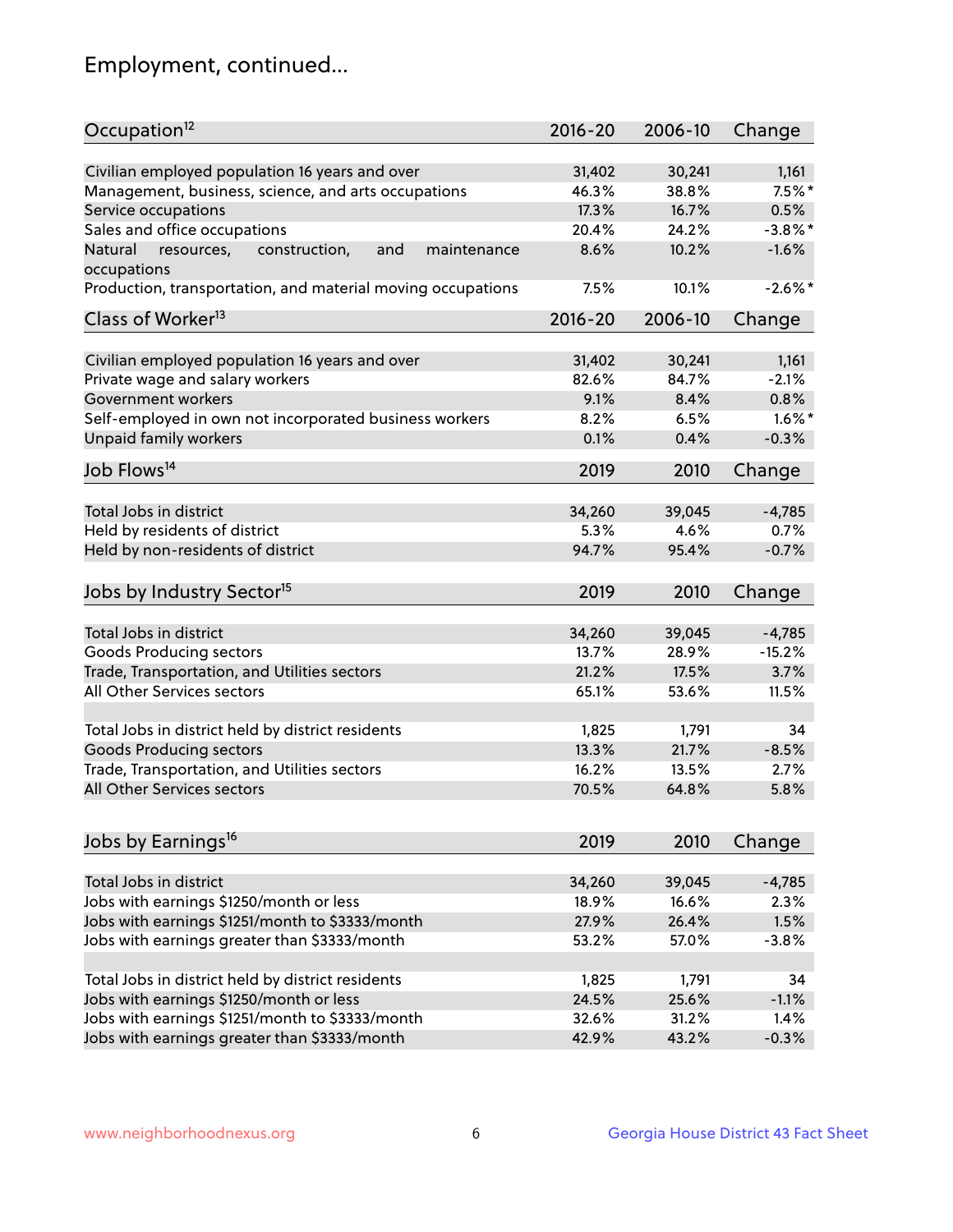## Employment, continued...

| Occupation <sup>12</sup>                                     | $2016 - 20$ | 2006-10 | Change     |
|--------------------------------------------------------------|-------------|---------|------------|
|                                                              |             |         |            |
| Civilian employed population 16 years and over               | 31,402      | 30,241  | 1,161      |
| Management, business, science, and arts occupations          | 46.3%       | 38.8%   | $7.5%$ *   |
| Service occupations                                          | 17.3%       | 16.7%   | 0.5%       |
| Sales and office occupations                                 | 20.4%       | 24.2%   | $-3.8\%$ * |
| construction,<br>and<br>Natural<br>resources,<br>maintenance | 8.6%        | 10.2%   | $-1.6%$    |
| occupations                                                  |             |         |            |
| Production, transportation, and material moving occupations  | 7.5%        | 10.1%   | $-2.6\%$ * |
| Class of Worker <sup>13</sup>                                | $2016 - 20$ | 2006-10 | Change     |
|                                                              |             |         |            |
| Civilian employed population 16 years and over               | 31,402      | 30,241  | 1,161      |
| Private wage and salary workers                              | 82.6%       | 84.7%   | $-2.1%$    |
| Government workers                                           | 9.1%        | 8.4%    | 0.8%       |
| Self-employed in own not incorporated business workers       | 8.2%        | 6.5%    | $1.6\%$ *  |
| Unpaid family workers                                        | 0.1%        | 0.4%    | $-0.3%$    |
| Job Flows <sup>14</sup>                                      | 2019        | 2010    | Change     |
|                                                              |             |         |            |
| Total Jobs in district                                       | 34,260      | 39,045  | $-4,785$   |
| Held by residents of district                                | 5.3%        | 4.6%    | 0.7%       |
| Held by non-residents of district                            | 94.7%       | 95.4%   | $-0.7%$    |
|                                                              |             |         |            |
| Jobs by Industry Sector <sup>15</sup>                        | 2019        | 2010    | Change     |
| Total Jobs in district                                       | 34,260      | 39,045  | $-4,785$   |
| Goods Producing sectors                                      | 13.7%       | 28.9%   | $-15.2%$   |
| Trade, Transportation, and Utilities sectors                 | 21.2%       | 17.5%   | 3.7%       |
| All Other Services sectors                                   | 65.1%       | 53.6%   | 11.5%      |
|                                                              |             |         |            |
| Total Jobs in district held by district residents            | 1,825       | 1,791   | 34         |
| <b>Goods Producing sectors</b>                               | 13.3%       | 21.7%   | $-8.5%$    |
| Trade, Transportation, and Utilities sectors                 | 16.2%       | 13.5%   | 2.7%       |
| All Other Services sectors                                   | 70.5%       | 64.8%   | 5.8%       |
|                                                              |             |         |            |
| Jobs by Earnings <sup>16</sup>                               | 2019        | 2010    | Change     |
|                                                              |             |         |            |
| Total Jobs in district                                       | 34,260      | 39,045  | $-4,785$   |
| Jobs with earnings \$1250/month or less                      | 18.9%       | 16.6%   | 2.3%       |
| Jobs with earnings \$1251/month to \$3333/month              | 27.9%       | 26.4%   | 1.5%       |
| Jobs with earnings greater than \$3333/month                 | 53.2%       | 57.0%   | $-3.8%$    |
|                                                              |             |         |            |
| Total Jobs in district held by district residents            | 1,825       | 1,791   | 34         |
| Jobs with earnings \$1250/month or less                      | 24.5%       | 25.6%   | $-1.1%$    |
| Jobs with earnings \$1251/month to \$3333/month              | 32.6%       | 31.2%   | 1.4%       |
| Jobs with earnings greater than \$3333/month                 | 42.9%       | 43.2%   | $-0.3%$    |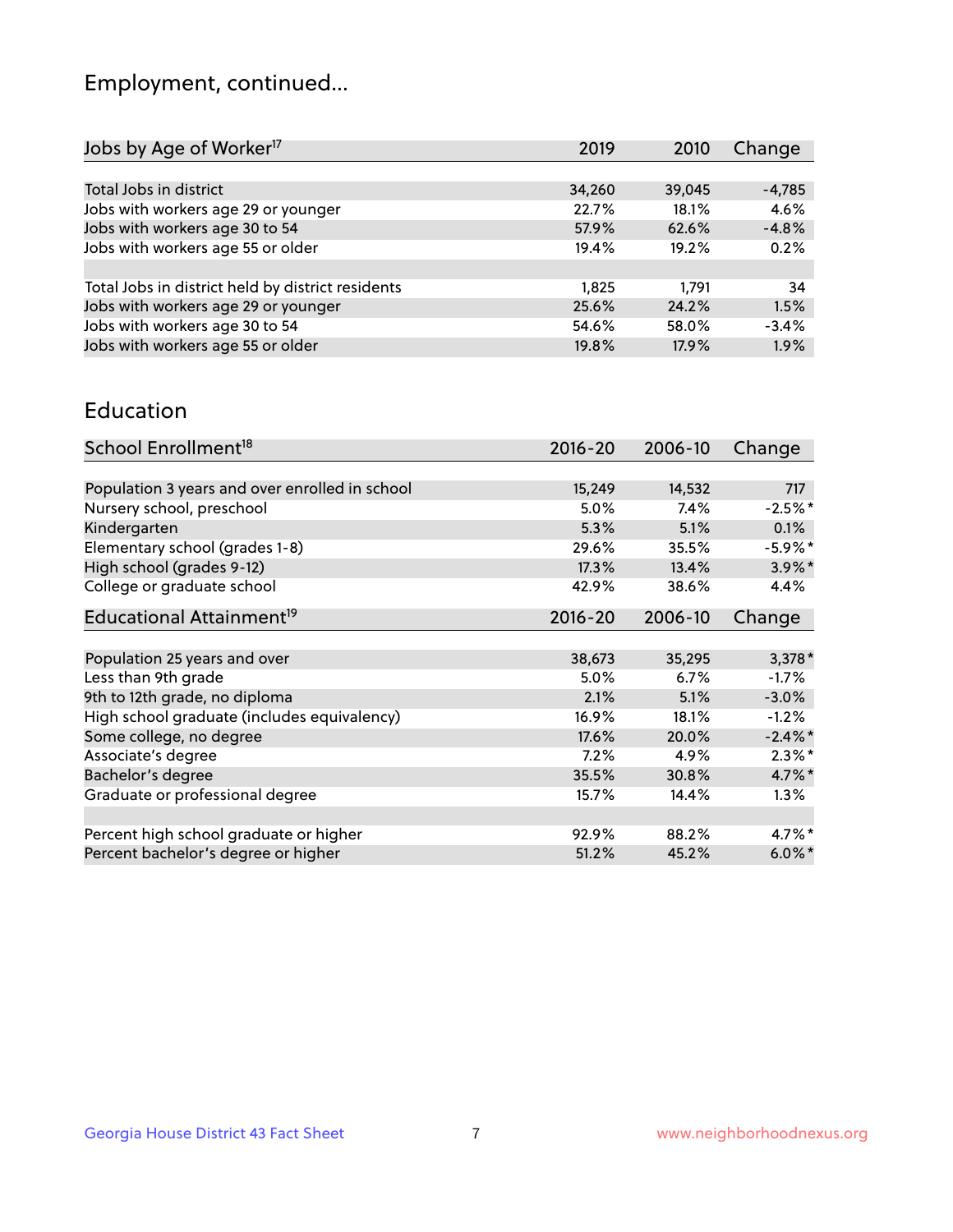## Employment, continued...

| Jobs by Age of Worker <sup>17</sup>               | 2019   | 2010   | Change  |
|---------------------------------------------------|--------|--------|---------|
|                                                   |        |        |         |
| Total Jobs in district                            | 34,260 | 39,045 | -4,785  |
| Jobs with workers age 29 or younger               | 22.7%  | 18.1%  | 4.6%    |
| Jobs with workers age 30 to 54                    | 57.9%  | 62.6%  | $-4.8%$ |
| Jobs with workers age 55 or older                 | 19.4%  | 19.2%  | 0.2%    |
|                                                   |        |        |         |
| Total Jobs in district held by district residents | 1.825  | 1.791  | 34      |
| Jobs with workers age 29 or younger               | 25.6%  | 24.2%  | 1.5%    |
| Jobs with workers age 30 to 54                    | 54.6%  | 58.0%  | $-3.4%$ |
| Jobs with workers age 55 or older                 | 19.8%  | 17.9%  | 1.9%    |
|                                                   |        |        |         |

#### Education

| School Enrollment <sup>18</sup>                | $2016 - 20$ | 2006-10 | Change     |
|------------------------------------------------|-------------|---------|------------|
|                                                |             |         |            |
| Population 3 years and over enrolled in school | 15,249      | 14,532  | 717        |
| Nursery school, preschool                      | 5.0%        | 7.4%    | $-2.5%$ *  |
| Kindergarten                                   | 5.3%        | 5.1%    | 0.1%       |
| Elementary school (grades 1-8)                 | 29.6%       | 35.5%   | $-5.9\%$ * |
| High school (grades 9-12)                      | 17.3%       | 13.4%   | $3.9\%$ *  |
| College or graduate school                     | 42.9%       | 38.6%   | 4.4%       |
| Educational Attainment <sup>19</sup>           | $2016 - 20$ | 2006-10 | Change     |
|                                                |             |         |            |
| Population 25 years and over                   | 38,673      | 35,295  | $3,378*$   |
| Less than 9th grade                            | 5.0%        | 6.7%    | $-1.7%$    |
| 9th to 12th grade, no diploma                  | 2.1%        | 5.1%    | $-3.0%$    |
| High school graduate (includes equivalency)    | 16.9%       | 18.1%   | $-1.2%$    |
| Some college, no degree                        | 17.6%       | 20.0%   | $-2.4\%$ * |
| Associate's degree                             | 7.2%        | 4.9%    | $2.3\%$ *  |
| Bachelor's degree                              | 35.5%       | 30.8%   | 4.7%*      |
| Graduate or professional degree                | 15.7%       | 14.4%   | $1.3\%$    |
|                                                |             |         |            |
| Percent high school graduate or higher         | 92.9%       | 88.2%   | 4.7%*      |
| Percent bachelor's degree or higher            | 51.2%       | 45.2%   | $6.0\%$ *  |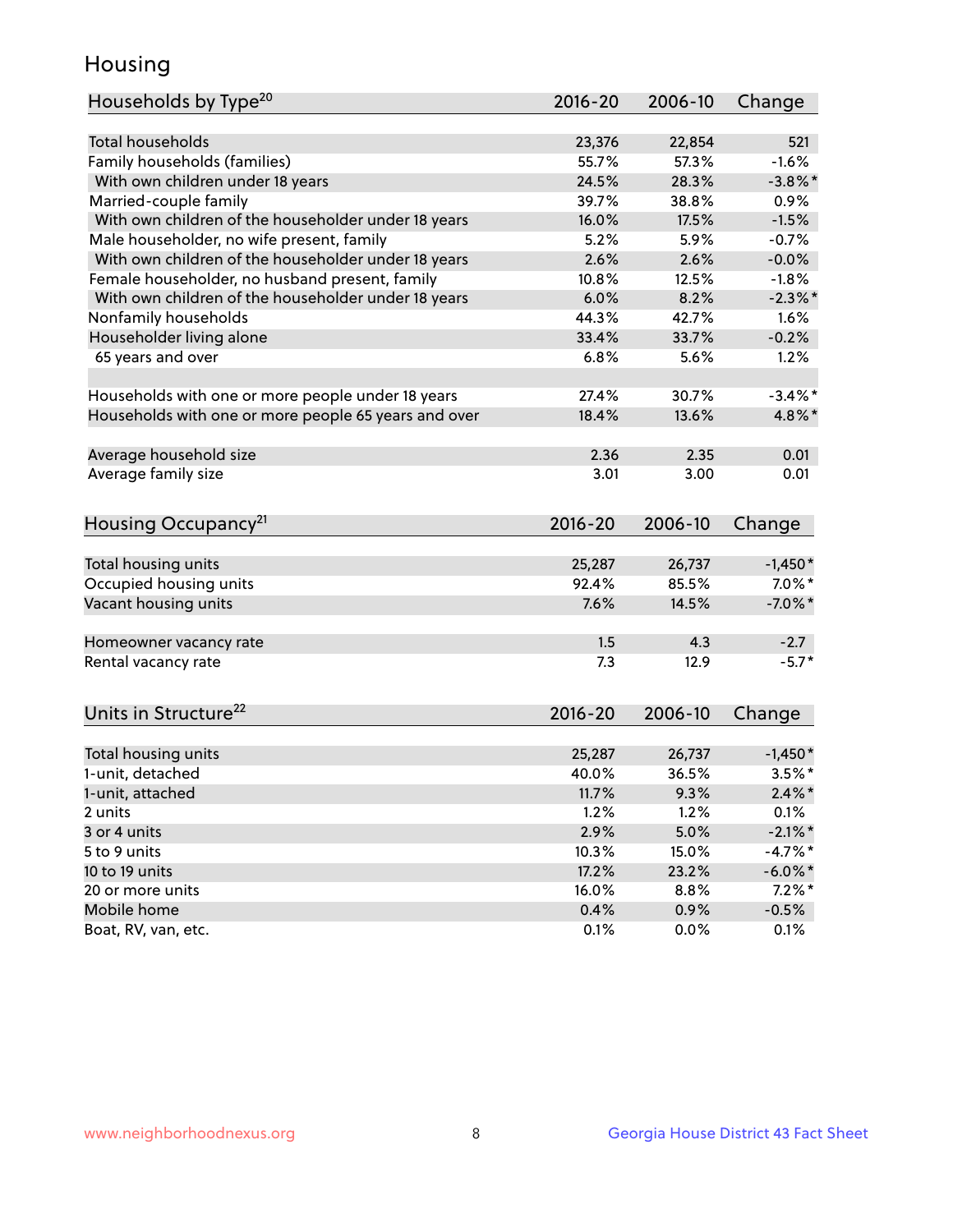## Housing

| Households by Type <sup>20</sup>                     | 2016-20     | 2006-10 | Change     |
|------------------------------------------------------|-------------|---------|------------|
|                                                      |             |         |            |
| <b>Total households</b>                              | 23,376      | 22,854  | 521        |
| Family households (families)                         | 55.7%       | 57.3%   | $-1.6%$    |
| With own children under 18 years                     | 24.5%       | 28.3%   | $-3.8\%$ * |
| Married-couple family                                | 39.7%       | 38.8%   | 0.9%       |
| With own children of the householder under 18 years  | 16.0%       | 17.5%   | $-1.5%$    |
| Male householder, no wife present, family            | 5.2%        | 5.9%    | $-0.7%$    |
| With own children of the householder under 18 years  | 2.6%        | 2.6%    | $-0.0%$    |
| Female householder, no husband present, family       | 10.8%       | 12.5%   | $-1.8%$    |
| With own children of the householder under 18 years  | 6.0%        | 8.2%    | $-2.3\%$ * |
| Nonfamily households                                 | 44.3%       | 42.7%   | 1.6%       |
| Householder living alone                             | 33.4%       | 33.7%   | $-0.2%$    |
| 65 years and over                                    | 6.8%        | 5.6%    | 1.2%       |
| Households with one or more people under 18 years    | 27.4%       | 30.7%   | $-3.4\%$ * |
| Households with one or more people 65 years and over | 18.4%       | 13.6%   | 4.8%*      |
|                                                      | 2.36        | 2.35    | 0.01       |
| Average household size                               | 3.01        | 3.00    | 0.01       |
| Average family size                                  |             |         |            |
| Housing Occupancy <sup>21</sup>                      | $2016 - 20$ | 2006-10 | Change     |
| Total housing units                                  | 25,287      | 26,737  | $-1,450*$  |
| Occupied housing units                               | 92.4%       | 85.5%   | $7.0\%$ *  |
| Vacant housing units                                 | 7.6%        | 14.5%   | $-7.0\%$ * |
|                                                      |             |         |            |
| Homeowner vacancy rate                               | 1.5         | 4.3     | $-2.7$     |
| Rental vacancy rate                                  | 7.3         | 12.9    | $-5.7*$    |
| Units in Structure <sup>22</sup>                     | 2016-20     | 2006-10 | Change     |
| Total housing units                                  | 25,287      | 26,737  | $-1,450*$  |
| 1-unit, detached                                     | 40.0%       | 36.5%   | $3.5\%$ *  |
| 1-unit, attached                                     | 11.7%       | 9.3%    | $2.4\%$ *  |
| 2 units                                              | 1.2%        | 1.2%    | 0.1%       |
| 3 or 4 units                                         | 2.9%        | 5.0%    | $-2.1\%$ * |
| 5 to 9 units                                         | 10.3%       | 15.0%   | $-4.7%$ *  |
|                                                      |             |         |            |
| 10 to 19 units                                       | 17.2%       | 23.2%   | $-6.0\%$ * |
| 20 or more units                                     | 16.0%       | 8.8%    | $7.2\%$ *  |
| Mobile home                                          | 0.4%        | 0.9%    | $-0.5%$    |
| Boat, RV, van, etc.                                  | 0.1%        | 0.0%    | 0.1%       |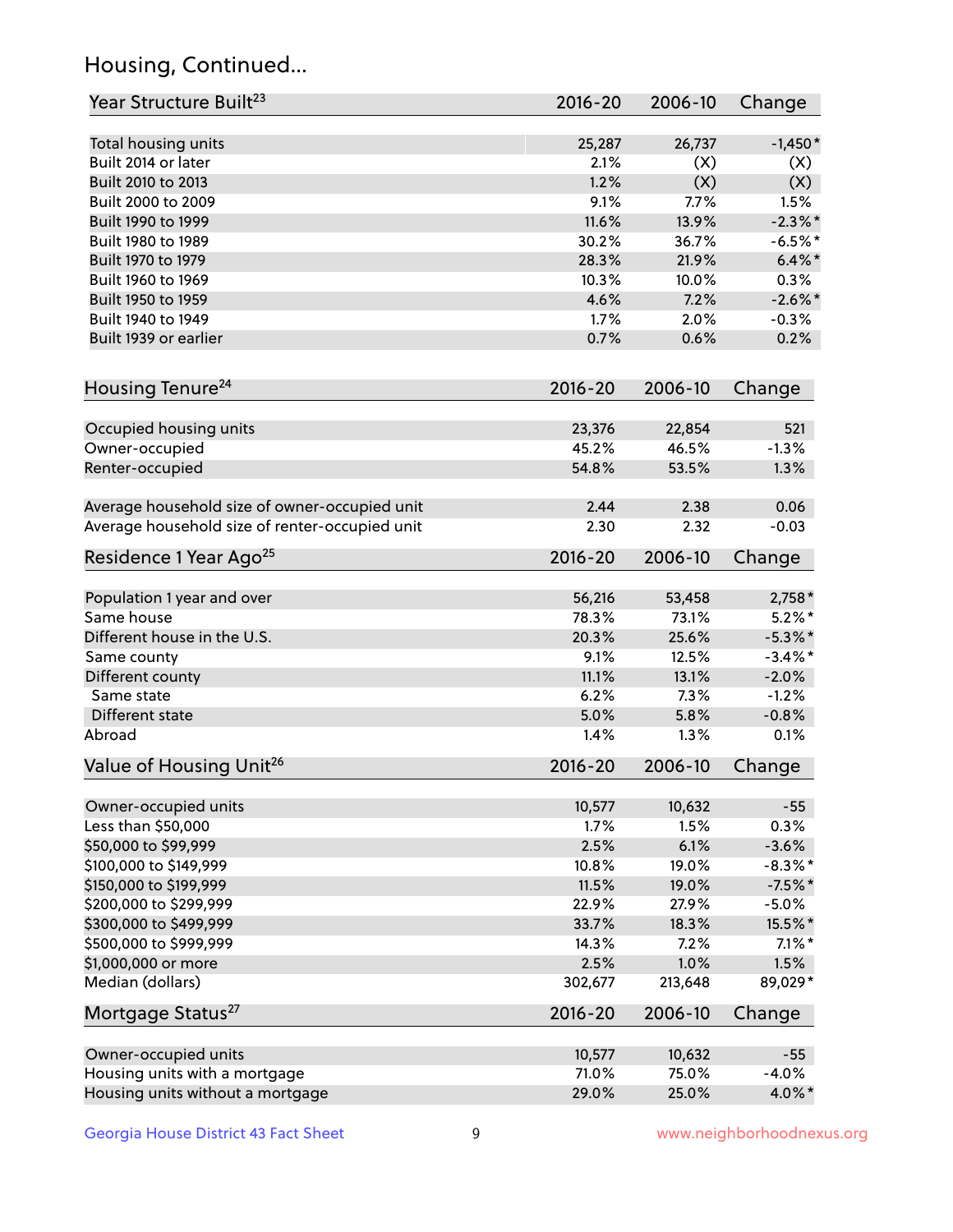## Housing, Continued...

| Year Structure Built <sup>23</sup>             | 2016-20     | 2006-10 | Change     |
|------------------------------------------------|-------------|---------|------------|
| Total housing units                            | 25,287      | 26,737  | $-1,450*$  |
| Built 2014 or later                            | 2.1%        | (X)     | (X)        |
| Built 2010 to 2013                             | 1.2%        | (X)     | (X)        |
| Built 2000 to 2009                             | 9.1%        | 7.7%    | 1.5%       |
| Built 1990 to 1999                             | 11.6%       | 13.9%   | $-2.3\%$ * |
| Built 1980 to 1989                             | 30.2%       | 36.7%   | $-6.5%$    |
| Built 1970 to 1979                             | 28.3%       | 21.9%   | $6.4\%$ *  |
| Built 1960 to 1969                             | 10.3%       | 10.0%   | 0.3%       |
| Built 1950 to 1959                             | 4.6%        | 7.2%    | $-2.6\%$ * |
| Built 1940 to 1949                             | 1.7%        | 2.0%    | $-0.3%$    |
| Built 1939 or earlier                          | 0.7%        | 0.6%    | 0.2%       |
|                                                |             |         |            |
| Housing Tenure <sup>24</sup>                   | $2016 - 20$ | 2006-10 | Change     |
| Occupied housing units                         | 23,376      | 22,854  | 521        |
| Owner-occupied                                 | 45.2%       | 46.5%   | $-1.3%$    |
| Renter-occupied                                | 54.8%       | 53.5%   | 1.3%       |
| Average household size of owner-occupied unit  | 2.44        | 2.38    | 0.06       |
| Average household size of renter-occupied unit | 2.30        | 2.32    | $-0.03$    |
| Residence 1 Year Ago <sup>25</sup>             | $2016 - 20$ | 2006-10 | Change     |
| Population 1 year and over                     | 56,216      | 53,458  | 2,758*     |
| Same house                                     | 78.3%       | 73.1%   | $5.2\%$ *  |
| Different house in the U.S.                    | 20.3%       | 25.6%   | $-5.3\%$ * |
| Same county                                    | 9.1%        | 12.5%   | $-3.4\%$ * |
| Different county                               | 11.1%       | 13.1%   | $-2.0%$    |
| Same state                                     | 6.2%        | 7.3%    | $-1.2%$    |
| Different state                                | 5.0%        | 5.8%    | $-0.8%$    |
|                                                |             |         | 0.1%       |
| Abroad                                         | 1.4%        | 1.3%    |            |
| Value of Housing Unit <sup>26</sup>            | $2016 - 20$ | 2006-10 | Change     |
| Owner-occupied units                           | 10,577      | 10,632  | $-55$      |
| Less than \$50,000                             | 1.7%        | 1.5%    | 0.3%       |
| \$50,000 to \$99,999                           | 2.5%        | 6.1%    | $-3.6%$    |
| \$100,000 to \$149,999                         | 10.8%       | 19.0%   | $-8.3\%$ * |
| \$150,000 to \$199,999                         | 11.5%       | 19.0%   | $-7.5%$ *  |
| \$200,000 to \$299,999                         | 22.9%       | 27.9%   | $-5.0%$    |
| \$300,000 to \$499,999                         | 33.7%       | 18.3%   | 15.5%*     |
| \$500,000 to \$999,999                         | 14.3%       | 7.2%    | $7.1\%$ *  |
| \$1,000,000 or more                            | 2.5%        | 1.0%    | 1.5%       |
| Median (dollars)                               | 302,677     | 213,648 | 89,029*    |
| Mortgage Status <sup>27</sup>                  | $2016 - 20$ | 2006-10 | Change     |
| Owner-occupied units                           | 10,577      | 10,632  | $-55$      |
| Housing units with a mortgage                  | 71.0%       | 75.0%   | $-4.0%$    |
|                                                |             |         |            |
| Housing units without a mortgage               | 29.0%       | 25.0%   | 4.0%*      |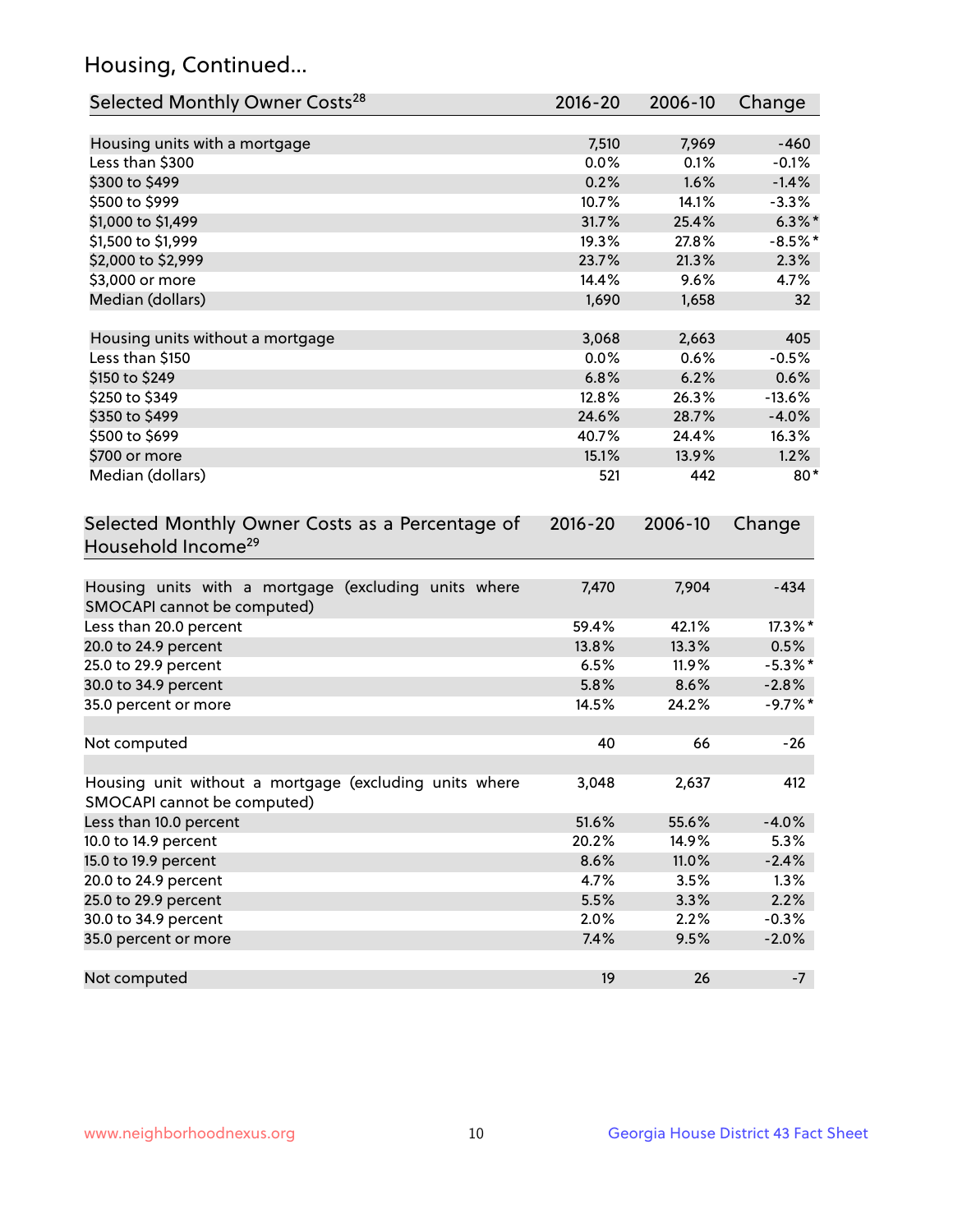## Housing, Continued...

| Selected Monthly Owner Costs <sup>28</sup>                                            | 2016-20     | 2006-10 | Change     |
|---------------------------------------------------------------------------------------|-------------|---------|------------|
| Housing units with a mortgage                                                         | 7,510       | 7,969   | $-460$     |
| Less than \$300                                                                       | 0.0%        | 0.1%    | $-0.1%$    |
| \$300 to \$499                                                                        | 0.2%        | 1.6%    | $-1.4%$    |
| \$500 to \$999                                                                        | 10.7%       | 14.1%   | $-3.3%$    |
| \$1,000 to \$1,499                                                                    | 31.7%       | 25.4%   | $6.3\%$ *  |
| \$1,500 to \$1,999                                                                    | 19.3%       | 27.8%   | $-8.5%$ *  |
| \$2,000 to \$2,999                                                                    | 23.7%       | 21.3%   | 2.3%       |
| \$3,000 or more                                                                       | 14.4%       | 9.6%    | 4.7%       |
| Median (dollars)                                                                      | 1,690       | 1,658   | 32         |
|                                                                                       |             |         |            |
| Housing units without a mortgage                                                      | 3,068       | 2,663   | 405        |
| Less than \$150                                                                       | 0.0%        | 0.6%    | $-0.5%$    |
| \$150 to \$249                                                                        | 6.8%        | 6.2%    | 0.6%       |
| \$250 to \$349                                                                        | 12.8%       | 26.3%   | $-13.6%$   |
| \$350 to \$499                                                                        | 24.6%       | 28.7%   | $-4.0%$    |
| \$500 to \$699                                                                        | 40.7%       | 24.4%   | 16.3%      |
| \$700 or more                                                                         | 15.1%       | 13.9%   | 1.2%       |
| Median (dollars)                                                                      | 521         | 442     | $80*$      |
| Selected Monthly Owner Costs as a Percentage of<br>Household Income <sup>29</sup>     | $2016 - 20$ | 2006-10 | Change     |
| Housing units with a mortgage (excluding units where<br>SMOCAPI cannot be computed)   | 7,470       | 7,904   | $-434$     |
| Less than 20.0 percent                                                                | 59.4%       | 42.1%   | 17.3%*     |
| 20.0 to 24.9 percent                                                                  | 13.8%       | 13.3%   | 0.5%       |
| 25.0 to 29.9 percent                                                                  | 6.5%        | 11.9%   | $-5.3\%$ * |
| 30.0 to 34.9 percent                                                                  | 5.8%        | 8.6%    | $-2.8%$    |
| 35.0 percent or more                                                                  | 14.5%       | 24.2%   | $-9.7%$ *  |
| Not computed                                                                          | 40          | 66      | $-26$      |
| Housing unit without a mortgage (excluding units where<br>SMOCAPI cannot be computed) | 3,048       | 2,637   | 412        |
| Less than 10.0 percent                                                                | 51.6%       | 55.6%   | $-4.0%$    |
| 10.0 to 14.9 percent                                                                  | 20.2%       | 14.9%   | 5.3%       |
| 15.0 to 19.9 percent                                                                  | 8.6%        | 11.0%   | $-2.4%$    |
| 20.0 to 24.9 percent                                                                  | 4.7%        | 3.5%    | 1.3%       |
| 25.0 to 29.9 percent                                                                  | 5.5%        | 3.3%    | 2.2%       |
| 30.0 to 34.9 percent                                                                  | 2.0%        | 2.2%    | $-0.3%$    |
| 35.0 percent or more                                                                  | 7.4%        | 9.5%    | $-2.0%$    |
| Not computed                                                                          | 19          | 26      | $-7$       |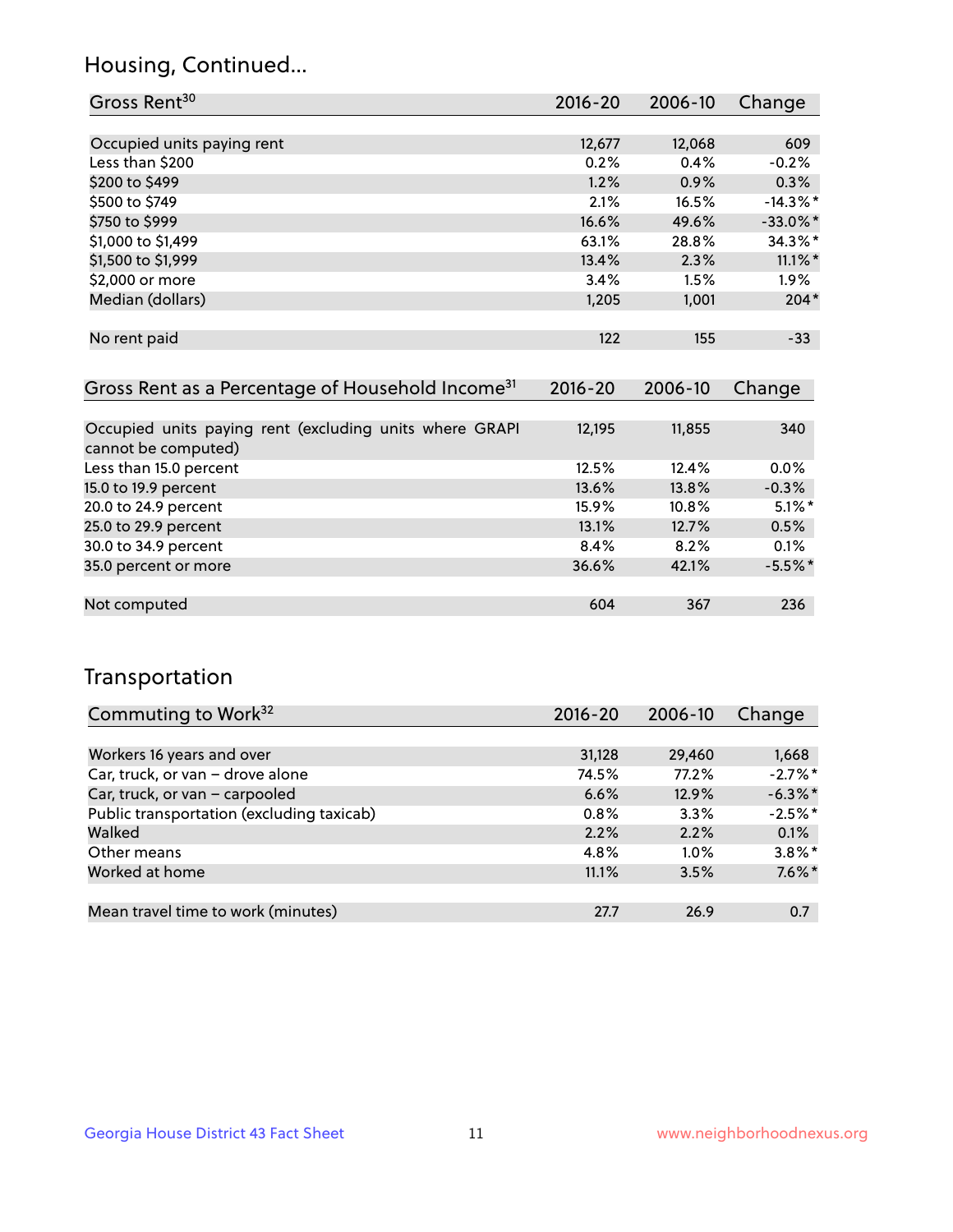## Housing, Continued...

| Gross Rent <sup>30</sup>   | 2016-20 | 2006-10 | Change      |
|----------------------------|---------|---------|-------------|
|                            |         |         |             |
| Occupied units paying rent | 12,677  | 12,068  | 609         |
| Less than \$200            | 0.2%    | 0.4%    | $-0.2%$     |
| \$200 to \$499             | 1.2%    | 0.9%    | 0.3%        |
| \$500 to \$749             | 2.1%    | 16.5%   | $-14.3\%$ * |
| \$750 to \$999             | 16.6%   | 49.6%   | $-33.0\%$ * |
| \$1,000 to \$1,499         | 63.1%   | 28.8%   | 34.3%*      |
| \$1,500 to \$1,999         | 13.4%   | 2.3%    | $11.1\%$ *  |
| \$2,000 or more            | 3.4%    | 1.5%    | $1.9\%$     |
| Median (dollars)           | 1,205   | 1,001   | $204*$      |
|                            |         |         |             |
| No rent paid               | 122     | 155     | $-33$       |

| Gross Rent as a Percentage of Household Income <sup>31</sup>                   | $2016 - 20$ | 2006-10 | Change    |
|--------------------------------------------------------------------------------|-------------|---------|-----------|
|                                                                                |             |         |           |
| Occupied units paying rent (excluding units where GRAPI<br>cannot be computed) | 12,195      | 11,855  | 340       |
| Less than 15.0 percent                                                         | 12.5%       | 12.4%   | 0.0%      |
| 15.0 to 19.9 percent                                                           | 13.6%       | 13.8%   | $-0.3%$   |
| 20.0 to 24.9 percent                                                           | 15.9%       | 10.8%   | $5.1\%$ * |
| 25.0 to 29.9 percent                                                           | 13.1%       | 12.7%   | 0.5%      |
| 30.0 to 34.9 percent                                                           | $8.4\%$     | 8.2%    | 0.1%      |
| 35.0 percent or more                                                           | 36.6%       | 42.1%   | $-5.5%$ * |
| Not computed                                                                   | 604         | 367     | 236       |

## Transportation

| Commuting to Work <sup>32</sup>           | 2016-20 | 2006-10 | Change     |
|-------------------------------------------|---------|---------|------------|
|                                           |         |         |            |
| Workers 16 years and over                 | 31,128  | 29,460  | 1,668      |
| Car, truck, or van - drove alone          | 74.5%   | 77.2%   | $-2.7%$ *  |
| Car, truck, or van - carpooled            | 6.6%    | 12.9%   | $-6.3\%$ * |
| Public transportation (excluding taxicab) | 0.8%    | 3.3%    | $-2.5%$ *  |
| Walked                                    | 2.2%    | 2.2%    | 0.1%       |
| Other means                               | 4.8%    | $1.0\%$ | $3.8\%$ *  |
| Worked at home                            | 11.1%   | 3.5%    | $7.6\%$ *  |
|                                           |         |         |            |
| Mean travel time to work (minutes)        | 27.7    | 26.9    | 0.7        |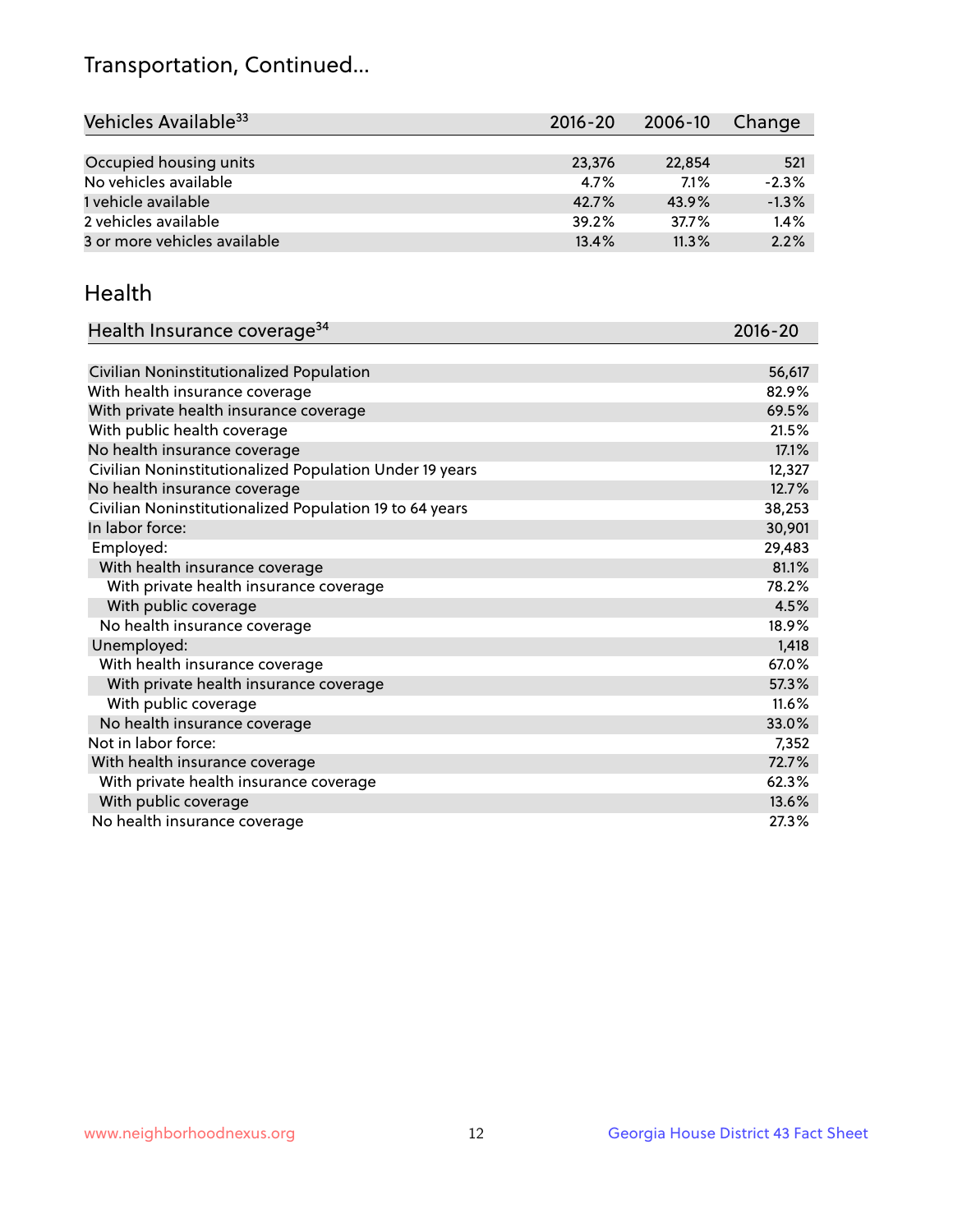## Transportation, Continued...

| Vehicles Available <sup>33</sup> | 2016-20 | 2006-10 | Change  |
|----------------------------------|---------|---------|---------|
|                                  |         |         |         |
| Occupied housing units           | 23,376  | 22,854  | 521     |
| No vehicles available            | 4.7%    | 7.1%    | $-2.3%$ |
| 1 vehicle available              | 42.7%   | 43.9%   | $-1.3%$ |
| 2 vehicles available             | 39.2%   | 37.7%   | 1.4%    |
| 3 or more vehicles available     | 13.4%   | 11.3%   | 2.2%    |

#### Health

| Health Insurance coverage <sup>34</sup>                 | 2016-20 |
|---------------------------------------------------------|---------|
|                                                         |         |
| Civilian Noninstitutionalized Population                | 56,617  |
| With health insurance coverage                          | 82.9%   |
| With private health insurance coverage                  | 69.5%   |
| With public health coverage                             | 21.5%   |
| No health insurance coverage                            | 17.1%   |
| Civilian Noninstitutionalized Population Under 19 years | 12,327  |
| No health insurance coverage                            | 12.7%   |
| Civilian Noninstitutionalized Population 19 to 64 years | 38,253  |
| In labor force:                                         | 30,901  |
| Employed:                                               | 29,483  |
| With health insurance coverage                          | 81.1%   |
| With private health insurance coverage                  | 78.2%   |
| With public coverage                                    | 4.5%    |
| No health insurance coverage                            | 18.9%   |
| Unemployed:                                             | 1,418   |
| With health insurance coverage                          | 67.0%   |
| With private health insurance coverage                  | 57.3%   |
| With public coverage                                    | 11.6%   |
| No health insurance coverage                            | 33.0%   |
| Not in labor force:                                     | 7,352   |
| With health insurance coverage                          | 72.7%   |
| With private health insurance coverage                  | 62.3%   |
| With public coverage                                    | 13.6%   |
| No health insurance coverage                            | 27.3%   |